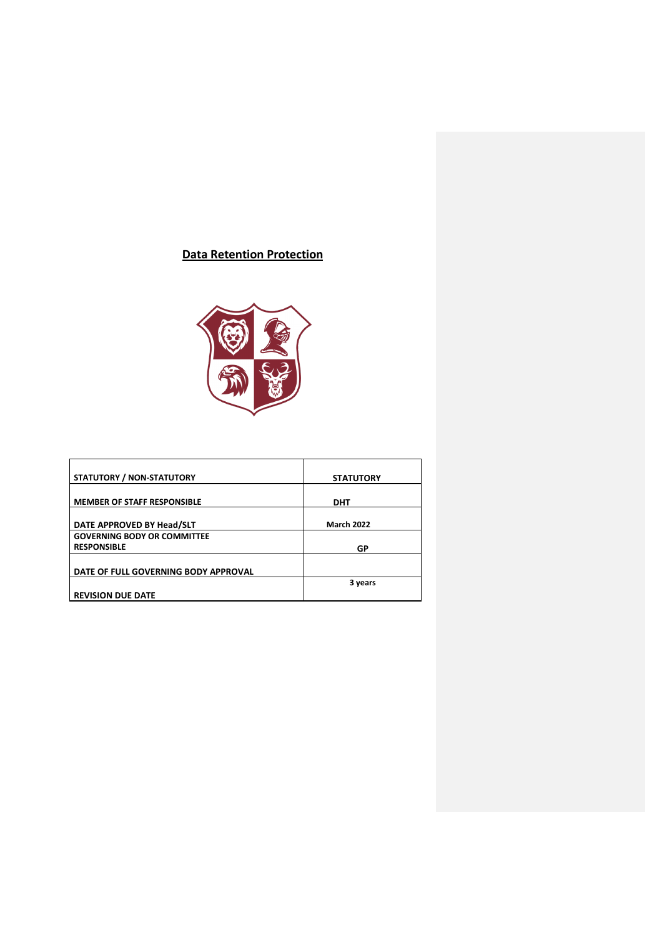# **Data Retention Protection**



| <b>STATUTORY / NON-STATUTORY</b>     | <b>STATUTORY</b>  |
|--------------------------------------|-------------------|
|                                      |                   |
| <b>MEMBER OF STAFF RESPONSIBLE</b>   | <b>DHT</b>        |
|                                      |                   |
| DATE APPROVED BY Head/SLT            | <b>March 2022</b> |
| <b>GOVERNING BODY OR COMMITTEE</b>   |                   |
| <b>RESPONSIBLE</b>                   | GP                |
|                                      |                   |
| DATE OF FULL GOVERNING BODY APPROVAL |                   |
|                                      | 3 years           |
| <b>REVISION DUE DATE</b>             |                   |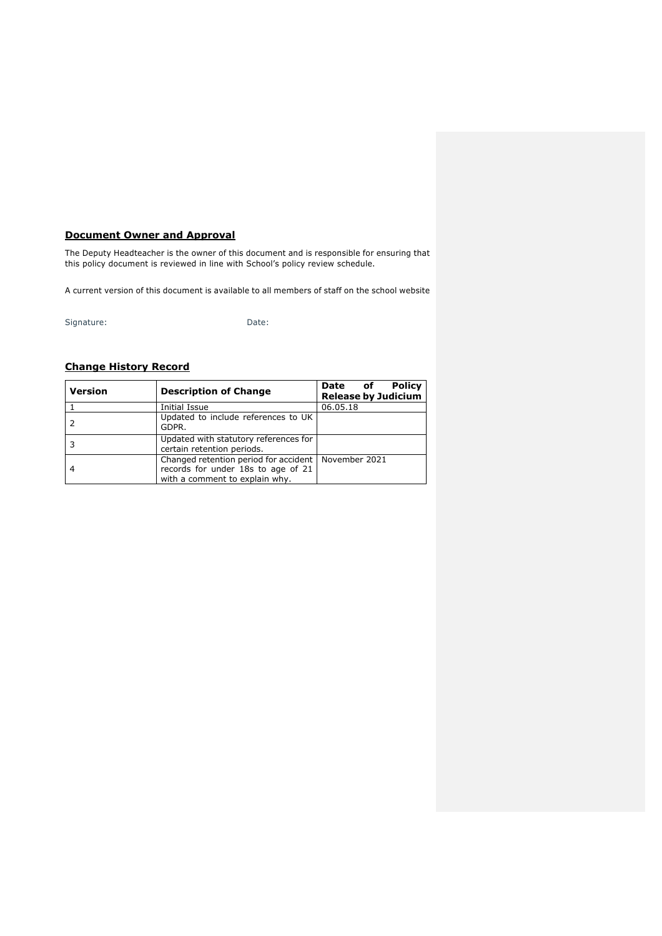# **Document Owner and Approval**

The Deputy Headteacher is the owner of this document and is responsible for ensuring that this policy document is reviewed in line with School's policy review schedule.

A current version of this document is available to all members of staff on the school website

Signature: Date:

# **Change History Record**

| <b>Version</b> | <b>Description of Change</b>                                                                                  | <b>Policy</b><br>Date of<br><b>Release by Judicium</b> |
|----------------|---------------------------------------------------------------------------------------------------------------|--------------------------------------------------------|
|                | Initial Issue                                                                                                 | 06.05.18                                               |
|                | Updated to include references to UK<br>GDPR.                                                                  |                                                        |
|                | Updated with statutory references for<br>certain retention periods.                                           |                                                        |
|                | Changed retention period for accident<br>records for under 18s to age of 21<br>with a comment to explain why. | November 2021                                          |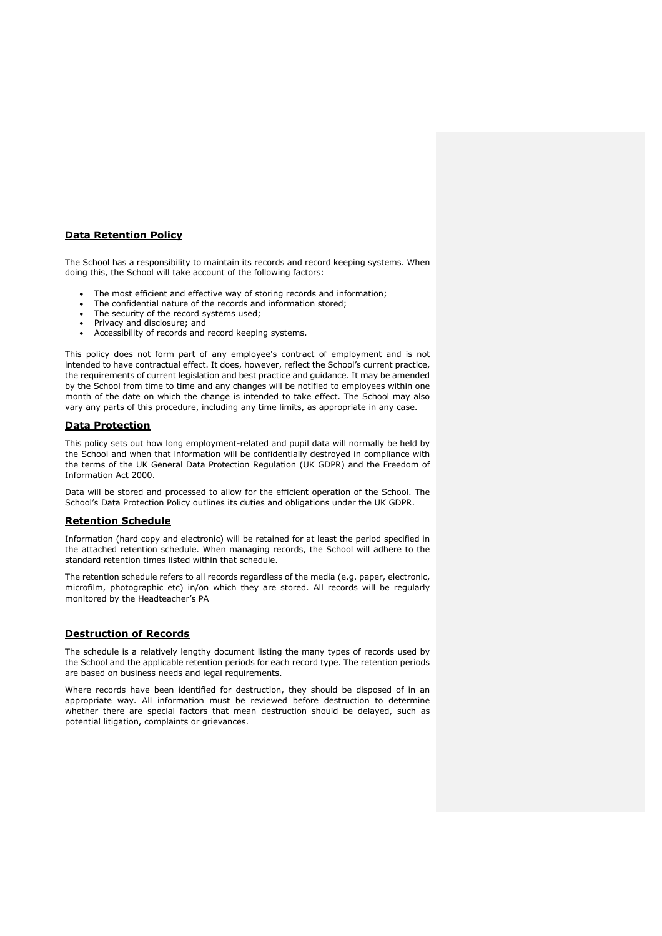## **Data Retention Policy**

The School has a responsibility to maintain its records and record keeping systems. When doing this, the School will take account of the following factors:

- The most efficient and effective way of storing records and information;
- The confidential nature of the records and information stored;
- The security of the record systems used;
- Privacy and disclosure; and
- Accessibility of records and record keeping systems.

This policy does not form part of any employee's contract of employment and is not intended to have contractual effect. It does, however, reflect the School's current practice, the requirements of current legislation and best practice and guidance. It may be amended by the School from time to time and any changes will be notified to employees within one month of the date on which the change is intended to take effect. The School may also vary any parts of this procedure, including any time limits, as appropriate in any case.

#### **Data Protection**

This policy sets out how long employment-related and pupil data will normally be held by the School and when that information will be confidentially destroyed in compliance with the terms of the UK General Data Protection Regulation (UK GDPR) and the Freedom of Information Act 2000.

Data will be stored and processed to allow for the efficient operation of the School. The School's Data Protection Policy outlines its duties and obligations under the UK GDPR.

#### **Retention Schedule**

Information (hard copy and electronic) will be retained for at least the period specified in the attached retention schedule. When managing records, the School will adhere to the standard retention times listed within that schedule.

The retention schedule refers to all records regardless of the media (e.g. paper, electronic, microfilm, photographic etc) in/on which they are stored. All records will be regularly monitored by the Headteacher's PA

## **Destruction of Records**

The schedule is a relatively lengthy document listing the many types of records used by the School and the applicable retention periods for each record type. The retention periods are based on business needs and legal requirements.

Where records have been identified for destruction, they should be disposed of in an appropriate way. All information must be reviewed before destruction to determine whether there are special factors that mean destruction should be delayed, such as potential litigation, complaints or grievances.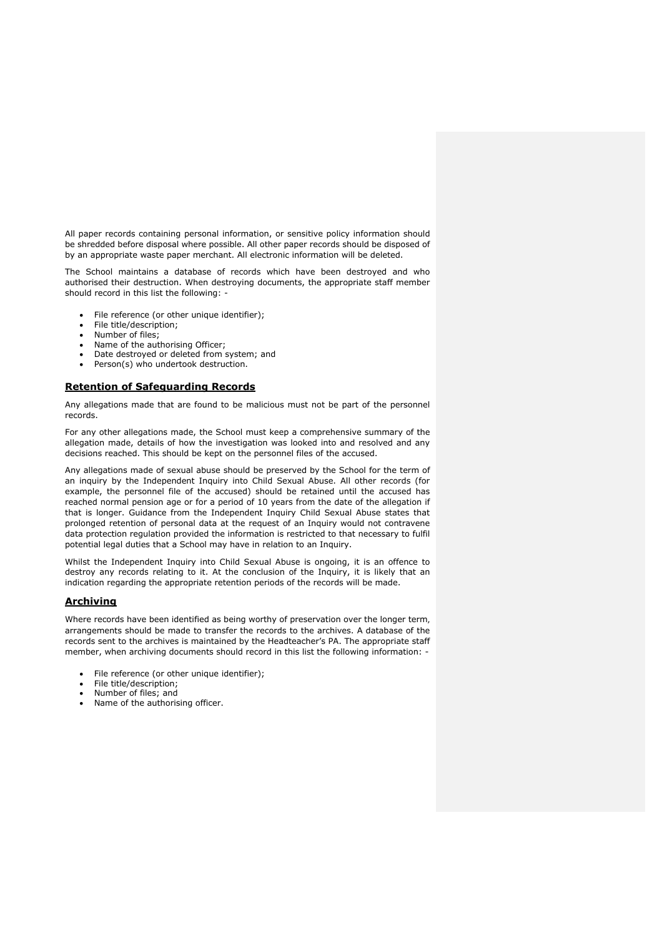All paper records containing personal information, or sensitive policy information should be shredded before disposal where possible. All other paper records should be disposed of by an appropriate waste paper merchant. All electronic information will be deleted.

The School maintains a database of records which have been destroyed and who authorised their destruction. When destroying documents, the appropriate staff member should record in this list the following: -

- File reference (or other unique identifier);
- File title/description;
- Number of files:
- Name of the authorising Officer;
- Date destroyed or deleted from system; and
- Person(s) who undertook destruction.

#### **Retention of Safeguarding Records**

Any allegations made that are found to be malicious must not be part of the personnel records.

For any other allegations made, the School must keep a comprehensive summary of the allegation made, details of how the investigation was looked into and resolved and any decisions reached. This should be kept on the personnel files of the accused.

Any allegations made of sexual abuse should be preserved by the School for the term of an inquiry by the Independent Inquiry into Child Sexual Abuse. All other records (for example, the personnel file of the accused) should be retained until the accused has reached normal pension age or for a period of 10 years from the date of the allegation if that is longer. Guidance from the Independent Inquiry Child Sexual Abuse states that prolonged retention of personal data at the request of an Inquiry would not contravene data protection regulation provided the information is restricted to that necessary to fulfil potential legal duties that a School may have in relation to an Inquiry.

Whilst the Independent Inquiry into Child Sexual Abuse is ongoing, it is an offence to destroy any records relating to it. At the conclusion of the Inquiry, it is likely that an indication regarding the appropriate retention periods of the records will be made.

## **Archiving**

Where records have been identified as being worthy of preservation over the longer term, arrangements should be made to transfer the records to the archives. A database of the records sent to the archives is maintained by the Headteacher's PA. The appropriate staff member, when archiving documents should record in this list the following information: -

- File reference (or other unique identifier);
- File title/description;
- Number of files; and
- Name of the authorising officer.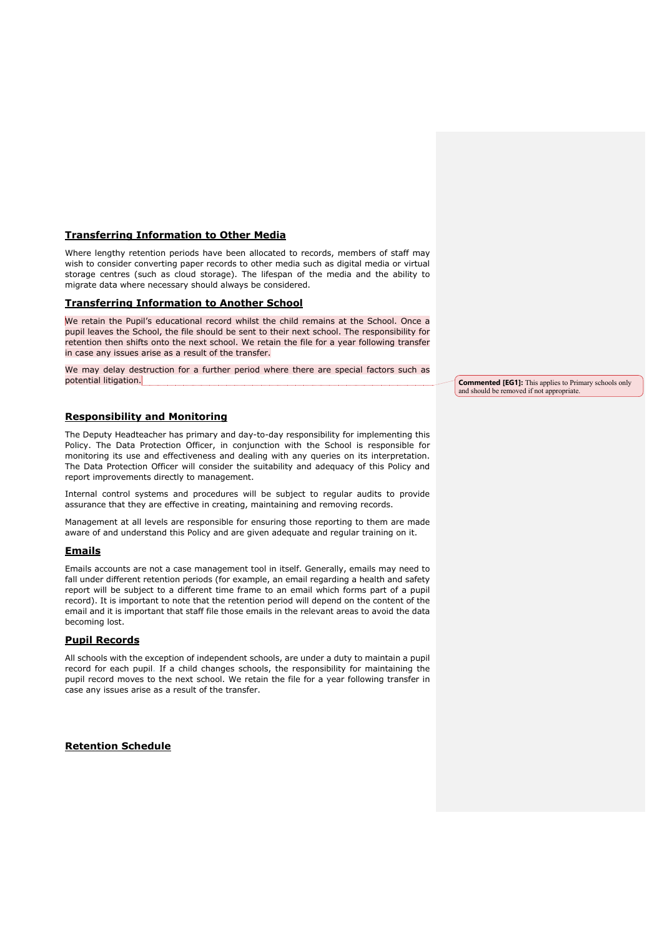## **Transferring Information to Other Media**

Where lengthy retention periods have been allocated to records, members of staff may wish to consider converting paper records to other media such as digital media or virtual storage centres (such as cloud storage). The lifespan of the media and the ability to migrate data where necessary should always be considered.

#### **Transferring Information to Another School**

We retain the Pupil's educational record whilst the child remains at the School. Once a pupil leaves the School, the file should be sent to their next school. The responsibility for retention then shifts onto the next school. We retain the file for a year following transfer in case any issues arise as a result of the transfer.

We may delay destruction for a further period where there are special factors such as potential litigation.

## **Responsibility and Monitoring**

The Deputy Headteacher has primary and day-to-day responsibility for implementing this Policy. The Data Protection Officer, in conjunction with the School is responsible for monitoring its use and effectiveness and dealing with any queries on its interpretation. The Data Protection Officer will consider the suitability and adequacy of this Policy and report improvements directly to management.

Internal control systems and procedures will be subject to regular audits to provide assurance that they are effective in creating, maintaining and removing records.

Management at all levels are responsible for ensuring those reporting to them are made aware of and understand this Policy and are given adequate and regular training on it.

#### **Emails**

Emails accounts are not a case management tool in itself. Generally, emails may need to fall under different retention periods (for example, an email regarding a health and safety report will be subject to a different time frame to an email which forms part of a pupil record). It is important to note that the retention period will depend on the content of the email and it is important that staff file those emails in the relevant areas to avoid the data becoming lost.

# **Pupil Records**

All schools with the exception of independent schools, are under a duty to maintain a pupil record for each pupil. If a child changes schools, the responsibility for maintaining the pupil record moves to the next school. We retain the file for a year following transfer in case any issues arise as a result of the transfer.

## **Retention Schedule**

**Commented [EG1]:** This applies to Primary schools only and should be removed if not appropriate.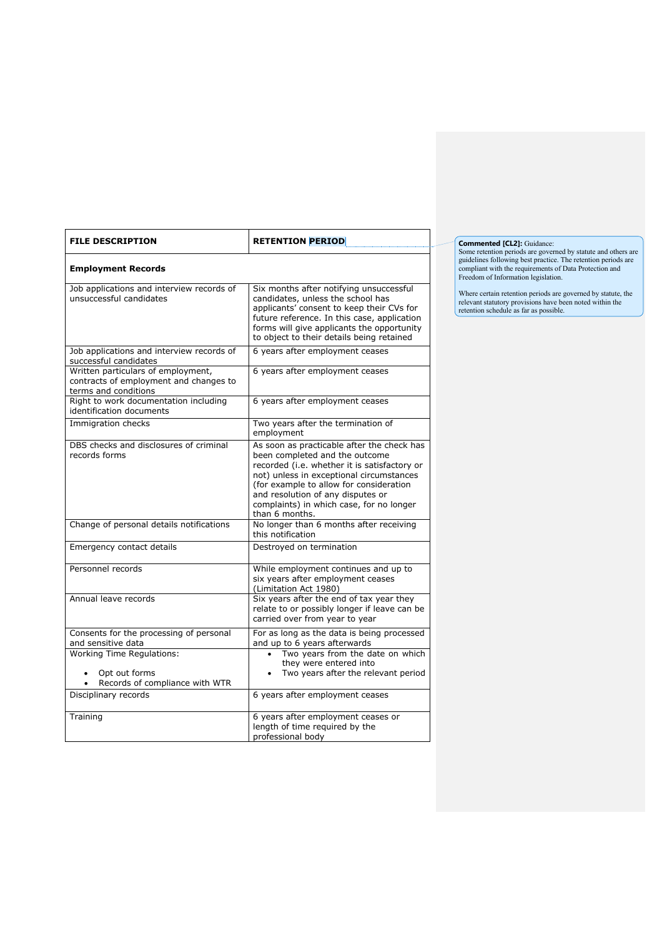| <b>FILE DESCRIPTION</b>                                                                              | <b>RETENTION PERIOD</b>                                                                                                                                                                                                                                                                                                |
|------------------------------------------------------------------------------------------------------|------------------------------------------------------------------------------------------------------------------------------------------------------------------------------------------------------------------------------------------------------------------------------------------------------------------------|
| <b>Employment Records</b>                                                                            |                                                                                                                                                                                                                                                                                                                        |
| Job applications and interview records of<br>unsuccessful candidates                                 | Six months after notifying unsuccessful<br>candidates, unless the school has<br>applicants' consent to keep their CVs for<br>future reference. In this case, application<br>forms will give applicants the opportunity<br>to object to their details being retained                                                    |
| Job applications and interview records of<br>successful candidates                                   | 6 years after employment ceases                                                                                                                                                                                                                                                                                        |
| Written particulars of employment,<br>contracts of employment and changes to<br>terms and conditions | 6 years after employment ceases                                                                                                                                                                                                                                                                                        |
| Right to work documentation including<br>identification documents                                    | 6 years after employment ceases                                                                                                                                                                                                                                                                                        |
| Immigration checks                                                                                   | Two years after the termination of<br>employment                                                                                                                                                                                                                                                                       |
| DBS checks and disclosures of criminal<br>records forms                                              | As soon as practicable after the check has<br>been completed and the outcome<br>recorded (i.e. whether it is satisfactory or<br>not) unless in exceptional circumstances<br>(for example to allow for consideration<br>and resolution of any disputes or<br>complaints) in which case, for no longer<br>than 6 months. |
| Change of personal details notifications                                                             | No longer than 6 months after receiving<br>this notification                                                                                                                                                                                                                                                           |
| Emergency contact details                                                                            | Destroyed on termination                                                                                                                                                                                                                                                                                               |
| Personnel records                                                                                    | While employment continues and up to<br>six years after employment ceases<br>(Limitation Act 1980)                                                                                                                                                                                                                     |
| Annual leave records                                                                                 | Six years after the end of tax year they<br>relate to or possibly longer if leave can be<br>carried over from year to year                                                                                                                                                                                             |
| Consents for the processing of personal<br>and sensitive data                                        | For as long as the data is being processed<br>and up to 6 years afterwards                                                                                                                                                                                                                                             |
| <b>Working Time Regulations:</b><br>Opt out forms<br>Records of compliance with WTR                  | Two years from the date on which<br>they were entered into<br>Two years after the relevant period                                                                                                                                                                                                                      |
| Disciplinary records                                                                                 | 6 years after employment ceases                                                                                                                                                                                                                                                                                        |
| Training                                                                                             | 6 years after employment ceases or<br>length of time required by the<br>professional body                                                                                                                                                                                                                              |

**Commented [CL2]:** Guidance:<br>Some retention periods are governed by statute and others are<br>guidelines following best practice. The retention periods are<br>compliant with the requirements of Data Protection and<br>Freedom of Inf

Where certain retention periods are governed by statute, the relevant statutory provisions have been noted within the retention schedule as far as possible.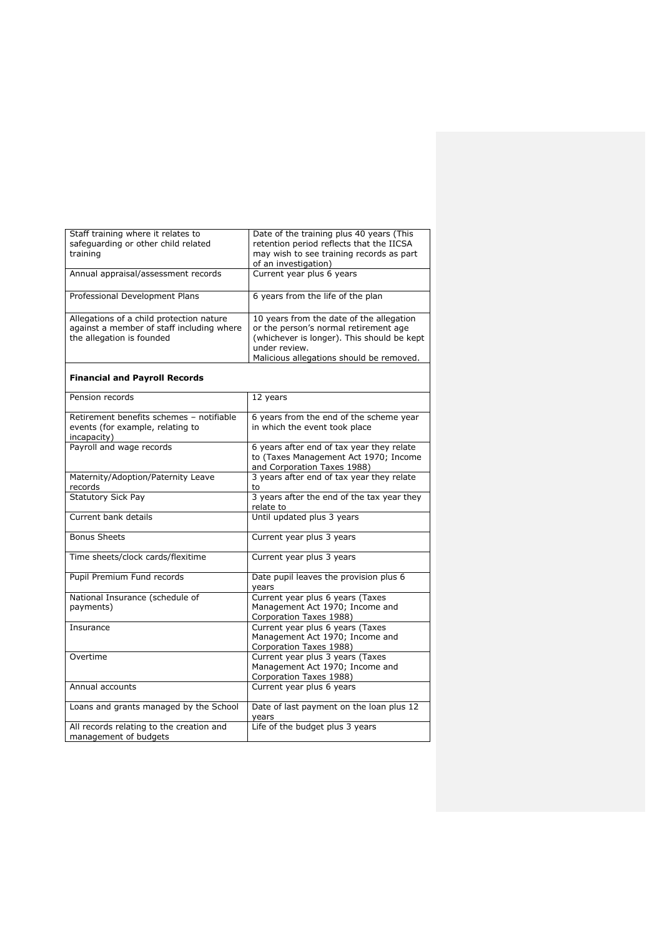| Staff training where it relates to            | Date of the training plus 40 years (This                         |
|-----------------------------------------------|------------------------------------------------------------------|
| safeguarding or other child related           | retention period reflects that the IICSA                         |
| training                                      | may wish to see training records as part<br>of an investigation) |
| Annual appraisal/assessment records           | Current year plus 6 years                                        |
|                                               |                                                                  |
| Professional Development Plans                | 6 years from the life of the plan                                |
| Allegations of a child protection nature      | 10 years from the date of the allegation                         |
| against a member of staff including where     | or the person's normal retirement age                            |
| the allegation is founded                     | (whichever is longer). This should be kept<br>under review.      |
|                                               | Malicious allegations should be removed.                         |
|                                               |                                                                  |
| <b>Financial and Payroll Records</b>          |                                                                  |
| Pension records                               | 12 years                                                         |
| Retirement benefits schemes - notifiable      | 6 years from the end of the scheme year                          |
| events (for example, relating to              | in which the event took place                                    |
| incapacity)                                   |                                                                  |
| Payroll and wage records                      | 6 years after end of tax year they relate                        |
|                                               | to (Taxes Management Act 1970; Income                            |
|                                               | and Corporation Taxes 1988)                                      |
| Maternity/Adoption/Paternity Leave<br>records | 3 years after end of tax year they relate<br>to                  |
| <b>Statutory Sick Pay</b>                     | 3 years after the end of the tax year they                       |
|                                               | relate to                                                        |
| Current bank details                          | Until updated plus 3 years                                       |
| <b>Bonus Sheets</b>                           |                                                                  |
|                                               | Current year plus 3 years                                        |
| Time sheets/clock cards/flexitime             | Current year plus 3 years                                        |
| Pupil Premium Fund records                    | Date pupil leaves the provision plus 6                           |
|                                               | years                                                            |
| National Insurance (schedule of               | Current year plus 6 years (Taxes                                 |
| payments)                                     | Management Act 1970; Income and                                  |
| Insurance                                     | Corporation Taxes 1988)<br>Current year plus 6 years (Taxes      |
|                                               | Management Act 1970; Income and                                  |
|                                               | Corporation Taxes 1988)                                          |
| Overtime                                      | Current year plus 3 years (Taxes                                 |
|                                               | Management Act 1970; Income and                                  |
|                                               | Corporation Taxes 1988)                                          |
| Annual accounts                               | Current year plus 6 years                                        |
| Loans and grants managed by the School        | Date of last payment on the loan plus 12                         |
|                                               | years                                                            |
| All records relating to the creation and      | Life of the budget plus 3 years                                  |
| management of budgets                         |                                                                  |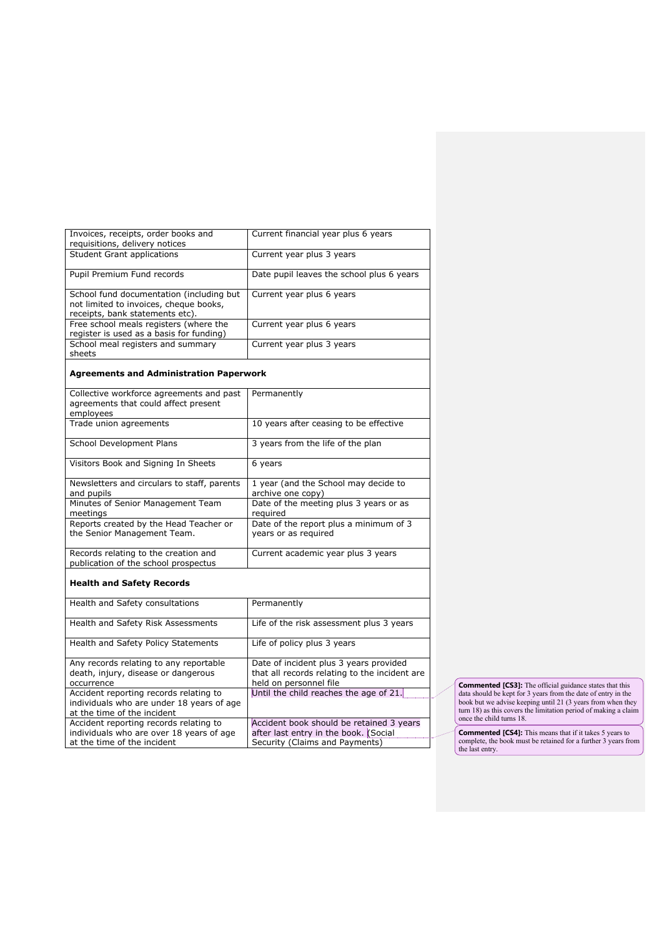| Invoices, receipts, order books and                                   | Current financial year plus 6 years                            |
|-----------------------------------------------------------------------|----------------------------------------------------------------|
| requisitions, delivery notices                                        |                                                                |
| <b>Student Grant applications</b>                                     | Current year plus 3 years                                      |
| Pupil Premium Fund records                                            | Date pupil leaves the school plus 6 years                      |
| School fund documentation (including but                              | Current year plus 6 years                                      |
| not limited to invoices, cheque books,                                |                                                                |
| receipts, bank statements etc).                                       |                                                                |
| Free school meals registers (where the                                | Current year plus 6 years                                      |
| register is used as a basis for funding)                              |                                                                |
| School meal registers and summary                                     | Current year plus 3 years                                      |
| sheets                                                                |                                                                |
| <b>Agreements and Administration Paperwork</b>                        |                                                                |
| Collective workforce agreements and past                              | Permanently                                                    |
| agreements that could affect present                                  |                                                                |
| employees                                                             |                                                                |
| Trade union agreements                                                | 10 years after ceasing to be effective                         |
|                                                                       |                                                                |
| School Development Plans                                              | 3 years from the life of the plan                              |
| Visitors Book and Signing In Sheets                                   | 6 years                                                        |
| Newsletters and circulars to staff, parents                           | 1 year (and the School may decide to                           |
| and pupils                                                            | archive one copy)                                              |
| Minutes of Senior Management Team                                     | Date of the meeting plus 3 years or as                         |
| meetings                                                              | required                                                       |
| Reports created by the Head Teacher or<br>the Senior Management Team. | Date of the report plus a minimum of 3<br>years or as required |
| Records relating to the creation and                                  | Current academic year plus 3 years                             |
| publication of the school prospectus                                  |                                                                |
| <b>Health and Safety Records</b>                                      |                                                                |
| Health and Safety consultations                                       | Permanently                                                    |
| Health and Safety Risk Assessments                                    | Life of the risk assessment plus 3 years                       |
| Health and Safety Policy Statements                                   | Life of policy plus 3 years                                    |
| Any records relating to any reportable                                | Date of incident plus 3 years provided                         |
| death, injury, disease or dangerous                                   | that all records relating to the incident are                  |
| occurrence                                                            | held on personnel file                                         |
| Accident reporting records relating to                                | Until the child reaches the age of 21.                         |
| individuals who are under 18 years of age                             |                                                                |
| at the time of the incident                                           |                                                                |
| Accident reporting records relating to                                | Accident book should be retained 3 years                       |
| individuals who are over 18 years of age                              | after last entry in the book. (Social                          |
| at the time of the incident                                           | Security (Claims and Payments)                                 |
|                                                                       |                                                                |

**Commented [CS3]:** The official guidance states that this data should be kept for 3 years from the date of entry in the book but we advise keeping until 21 (3 years from when they book but we advisue kurn 18) as this cover

**Commented [CS4]:** This means that if it takes 5 years to complete, the book must be retained for a further 3 years from the last entry.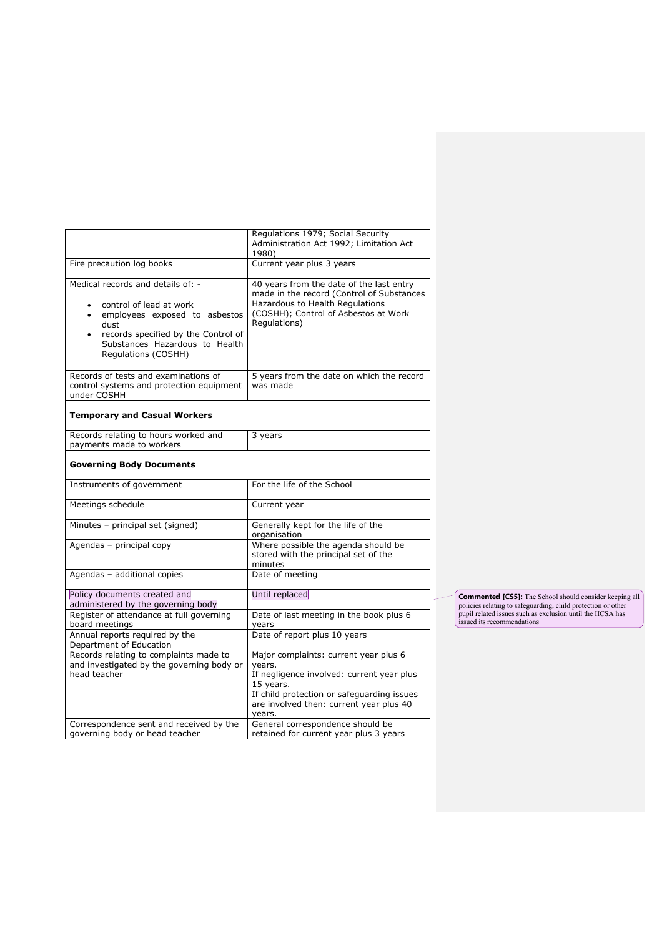|                                                                                                                                                                                                                                      | Regulations 1979; Social Security<br>Administration Act 1992; Limitation Act<br>1980)                                                                                                                        |
|--------------------------------------------------------------------------------------------------------------------------------------------------------------------------------------------------------------------------------------|--------------------------------------------------------------------------------------------------------------------------------------------------------------------------------------------------------------|
| Fire precaution log books                                                                                                                                                                                                            | Current year plus 3 years                                                                                                                                                                                    |
| Medical records and details of: -<br>control of lead at work<br>$\bullet$<br>employees exposed to asbestos<br>$\bullet$<br>dust<br>records specified by the Control of<br>٠<br>Substances Hazardous to Health<br>Regulations (COSHH) | 40 years from the date of the last entry<br>made in the record (Control of Substances<br>Hazardous to Health Regulations<br>(COSHH); Control of Asbestos at Work<br>Regulations)                             |
| Records of tests and examinations of<br>control systems and protection equipment<br>under COSHH                                                                                                                                      | 5 years from the date on which the record<br>was made                                                                                                                                                        |
| <b>Temporary and Casual Workers</b>                                                                                                                                                                                                  |                                                                                                                                                                                                              |
| Records relating to hours worked and<br>payments made to workers                                                                                                                                                                     | 3 years                                                                                                                                                                                                      |
| <b>Governing Body Documents</b>                                                                                                                                                                                                      |                                                                                                                                                                                                              |
| Instruments of government                                                                                                                                                                                                            | For the life of the School                                                                                                                                                                                   |
| Meetings schedule                                                                                                                                                                                                                    | Current year                                                                                                                                                                                                 |
| Minutes - principal set (signed)                                                                                                                                                                                                     | Generally kept for the life of the<br>organisation                                                                                                                                                           |
| Agendas - principal copy                                                                                                                                                                                                             | Where possible the agenda should be<br>stored with the principal set of the<br>minutes                                                                                                                       |
| Agendas - additional copies                                                                                                                                                                                                          | Date of meeting                                                                                                                                                                                              |
| Policy documents created and<br>administered by the governing body                                                                                                                                                                   | Until replaced                                                                                                                                                                                               |
| Register of attendance at full governing<br>board meetings                                                                                                                                                                           | Date of last meeting in the book plus 6<br>years                                                                                                                                                             |
| Annual reports required by the<br>Department of Education                                                                                                                                                                            | Date of report plus 10 years                                                                                                                                                                                 |
| Records relating to complaints made to<br>and investigated by the governing body or<br>head teacher                                                                                                                                  | Major complaints: current year plus 6<br>years.<br>If negligence involved: current year plus<br>15 years.<br>If child protection or safeguarding issues<br>are involved then: current year plus 40<br>years. |
| Correspondence sent and received by the<br>governing body or head teacher                                                                                                                                                            | General correspondence should be<br>retained for current year plus 3 years                                                                                                                                   |

**Commented [CS5]:** The School should consider keeping all policies relating to safeguarding, child protection or other pupil related issues such as exclusion until the IICSA has issued its recommendations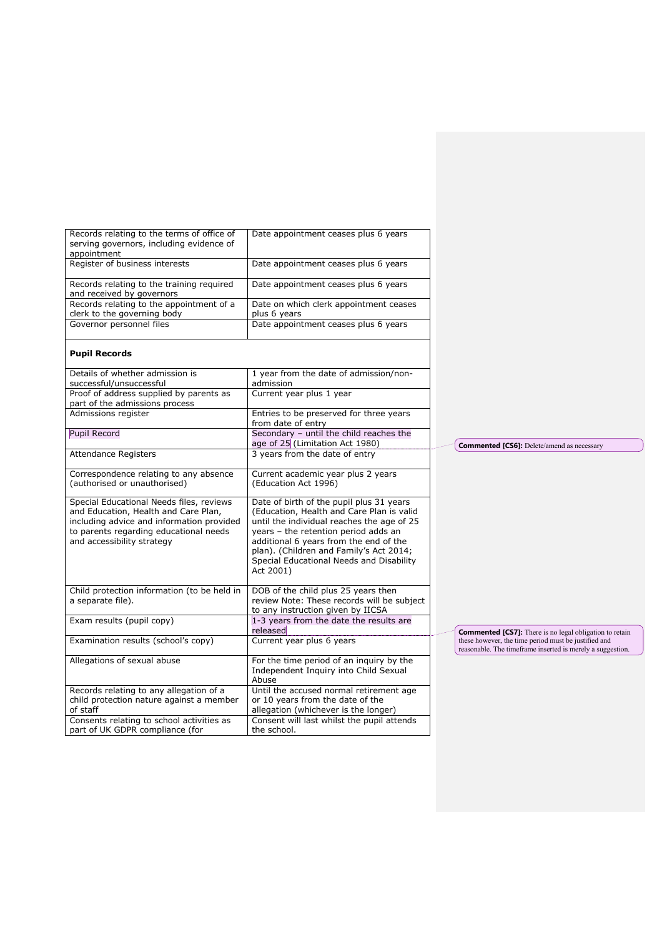| Records relating to the terms of office of<br>serving governors, including evidence of                                                                                                                | Date appointment ceases plus 6 years                                                                                                                                                                                                                                                                                      |                                                                                                                    |
|-------------------------------------------------------------------------------------------------------------------------------------------------------------------------------------------------------|---------------------------------------------------------------------------------------------------------------------------------------------------------------------------------------------------------------------------------------------------------------------------------------------------------------------------|--------------------------------------------------------------------------------------------------------------------|
| appointment                                                                                                                                                                                           |                                                                                                                                                                                                                                                                                                                           |                                                                                                                    |
| Register of business interests                                                                                                                                                                        | Date appointment ceases plus 6 years                                                                                                                                                                                                                                                                                      |                                                                                                                    |
| Records relating to the training required<br>and received by governors                                                                                                                                | Date appointment ceases plus 6 years                                                                                                                                                                                                                                                                                      |                                                                                                                    |
| Records relating to the appointment of a                                                                                                                                                              | Date on which clerk appointment ceases                                                                                                                                                                                                                                                                                    |                                                                                                                    |
| clerk to the governing body                                                                                                                                                                           | plus 6 years                                                                                                                                                                                                                                                                                                              |                                                                                                                    |
| Governor personnel files                                                                                                                                                                              | Date appointment ceases plus 6 years                                                                                                                                                                                                                                                                                      |                                                                                                                    |
| <b>Pupil Records</b>                                                                                                                                                                                  |                                                                                                                                                                                                                                                                                                                           |                                                                                                                    |
| Details of whether admission is<br>successful/unsuccessful                                                                                                                                            | 1 year from the date of admission/non-<br>admission                                                                                                                                                                                                                                                                       |                                                                                                                    |
| Proof of address supplied by parents as                                                                                                                                                               | Current year plus 1 year                                                                                                                                                                                                                                                                                                  |                                                                                                                    |
| part of the admissions process                                                                                                                                                                        |                                                                                                                                                                                                                                                                                                                           |                                                                                                                    |
| Admissions register                                                                                                                                                                                   | Entries to be preserved for three years<br>from date of entry                                                                                                                                                                                                                                                             |                                                                                                                    |
| Pupil Record                                                                                                                                                                                          | Secondary - until the child reaches the<br>age of 25 (Limitation Act 1980)                                                                                                                                                                                                                                                | <b>Commented [CS6]:</b> Delete/amend as necessary                                                                  |
| <b>Attendance Registers</b>                                                                                                                                                                           | 3 years from the date of entry                                                                                                                                                                                                                                                                                            |                                                                                                                    |
| Correspondence relating to any absence                                                                                                                                                                | Current academic year plus 2 years                                                                                                                                                                                                                                                                                        |                                                                                                                    |
| (authorised or unauthorised)                                                                                                                                                                          | (Education Act 1996)                                                                                                                                                                                                                                                                                                      |                                                                                                                    |
| Special Educational Needs files, reviews<br>and Education, Health and Care Plan,<br>including advice and information provided<br>to parents regarding educational needs<br>and accessibility strategy | Date of birth of the pupil plus 31 years<br>(Education, Health and Care Plan is valid<br>until the individual reaches the age of 25<br>years - the retention period adds an<br>additional 6 years from the end of the<br>plan). (Children and Family's Act 2014;<br>Special Educational Needs and Disability<br>Act 2001) |                                                                                                                    |
| Child protection information (to be held in<br>a separate file).                                                                                                                                      | DOB of the child plus 25 years then<br>review Note: These records will be subject<br>to any instruction given by IICSA                                                                                                                                                                                                    |                                                                                                                    |
| Exam results (pupil copy)                                                                                                                                                                             | 1-3 years from the date the results are<br>released                                                                                                                                                                                                                                                                       | <b>Commented [CS7]:</b> There is no legal obligation to retain                                                     |
| Examination results (school's copy)                                                                                                                                                                   | Current year plus 6 years                                                                                                                                                                                                                                                                                                 | these however, the time period must be justified and<br>reasonable. The timeframe inserted is merely a suggestion. |
| Allegations of sexual abuse                                                                                                                                                                           | For the time period of an inquiry by the<br>Independent Inquiry into Child Sexual<br>Abuse                                                                                                                                                                                                                                |                                                                                                                    |
| Records relating to any allegation of a<br>child protection nature against a member<br>of staff                                                                                                       | Until the accused normal retirement age<br>or 10 years from the date of the<br>allegation (whichever is the longer)                                                                                                                                                                                                       |                                                                                                                    |
| Consents relating to school activities as<br>part of UK GDPR compliance (for                                                                                                                          | Consent will last whilst the pupil attends<br>the school.                                                                                                                                                                                                                                                                 |                                                                                                                    |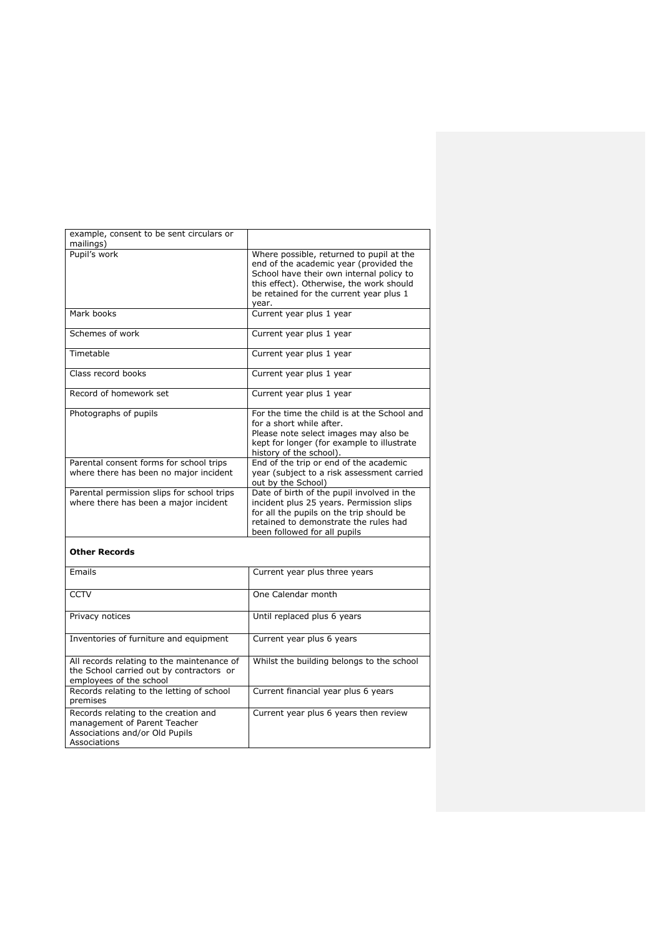| example, consent to be sent circulars or<br>mailings)                                                                  |                                                                                                                                                                                                                                |
|------------------------------------------------------------------------------------------------------------------------|--------------------------------------------------------------------------------------------------------------------------------------------------------------------------------------------------------------------------------|
| Pupil's work                                                                                                           | Where possible, returned to pupil at the<br>end of the academic year (provided the<br>School have their own internal policy to<br>this effect). Otherwise, the work should<br>be retained for the current year plus 1<br>year. |
| Mark books                                                                                                             | Current year plus 1 year                                                                                                                                                                                                       |
| Schemes of work                                                                                                        | Current year plus 1 year                                                                                                                                                                                                       |
| Timetable                                                                                                              | Current year plus 1 year                                                                                                                                                                                                       |
| Class record books                                                                                                     | Current year plus 1 year                                                                                                                                                                                                       |
| Record of homework set                                                                                                 | Current year plus 1 year                                                                                                                                                                                                       |
| Photographs of pupils                                                                                                  | For the time the child is at the School and<br>for a short while after.<br>Please note select images may also be<br>kept for longer (for example to illustrate<br>history of the school).                                      |
| Parental consent forms for school trips<br>where there has been no major incident                                      | End of the trip or end of the academic<br>year (subject to a risk assessment carried<br>out by the School)                                                                                                                     |
| Parental permission slips for school trips<br>where there has been a major incident                                    | Date of birth of the pupil involved in the<br>incident plus 25 years. Permission slips<br>for all the pupils on the trip should be<br>retained to demonstrate the rules had<br>been followed for all pupils                    |
| <b>Other Records</b>                                                                                                   |                                                                                                                                                                                                                                |
| Emails                                                                                                                 | Current year plus three years                                                                                                                                                                                                  |
| <b>CCTV</b>                                                                                                            | One Calendar month                                                                                                                                                                                                             |
| Privacy notices                                                                                                        | Until replaced plus 6 years                                                                                                                                                                                                    |
| Inventories of furniture and equipment                                                                                 | Current year plus 6 years                                                                                                                                                                                                      |
| All records relating to the maintenance of<br>the School carried out by contractors or<br>employees of the school      | Whilst the building belongs to the school                                                                                                                                                                                      |
| Records relating to the letting of school<br>premises                                                                  | Current financial year plus 6 years                                                                                                                                                                                            |
| Records relating to the creation and<br>management of Parent Teacher<br>Associations and/or Old Pupils<br>Associations | Current year plus 6 years then review                                                                                                                                                                                          |